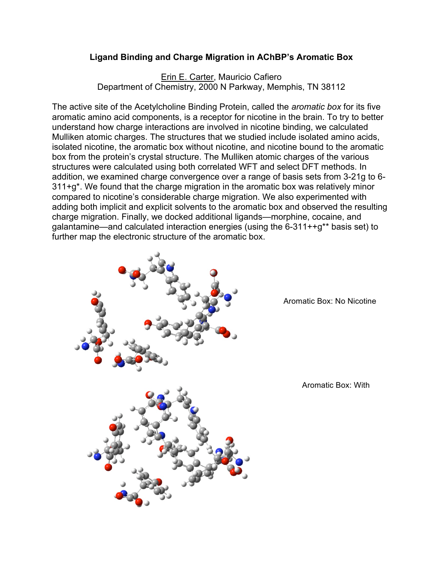## **Ligand Binding and Charge Migration in AChBP's Aromatic Box**

Erin E. Carter, Mauricio Cafiero Department of Chemistry, 2000 N Parkway, Memphis, TN 38112

The active site of the Acetylcholine Binding Protein, called the *aromatic box* for its five aromatic amino acid components, is a receptor for nicotine in the brain. To try to better understand how charge interactions are involved in nicotine binding, we calculated Mulliken atomic charges. The structures that we studied include isolated amino acids, isolated nicotine, the aromatic box without nicotine, and nicotine bound to the aromatic box from the protein's crystal structure. The Mulliken atomic charges of the various structures were calculated using both correlated WFT and select DFT methods. In addition, we examined charge convergence over a range of basis sets from 3-21g to 6- 311+g\*. We found that the charge migration in the aromatic box was relatively minor compared to nicotine's considerable charge migration. We also experimented with adding both implicit and explicit solvents to the aromatic box and observed the resulting charge migration. Finally, we docked additional ligands—morphine, cocaine, and galantamine—and calculated interaction energies (using the 6-311++g\*\* basis set) to further map the electronic structure of the aromatic box.



Aromatic Box: No Nicotine

Aromatic Box: With